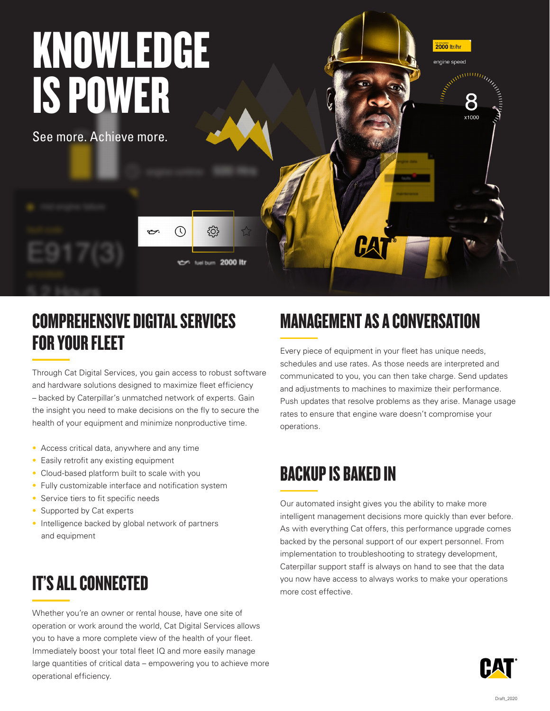

#### COMPREHENSIVE DIGITAL SERVICES FOR YOUR FLEET

Through Cat Digital Services, you gain access to robust software and hardware solutions designed to maximize fleet efficiency – backed by Caterpillar's unmatched network of experts. Gain the insight you need to make decisions on the fly to secure the health of your equipment and minimize nonproductive time.

- Access critical data, anywhere and any time
- Easily retrofit any existing equipment
- Cloud-based platform built to scale with you
- Fully customizable interface and notification system
- Service tiers to fit specific needs
- Supported by Cat experts
- Intelligence backed by global network of partners and equipment

#### IT'S ALL CONNECTED

Whether you're an owner or rental house, have one site of operation or work around the world, Cat Digital Services allows you to have a more complete view of the health of your fleet. Immediately boost your total fleet IQ and more easily manage large quantities of critical data – empowering you to achieve more operational efficiency.

### MANAGEMENT AS A CONVERSATION

Every piece of equipment in your fleet has unique needs, schedules and use rates. As those needs are interpreted and communicated to you, you can then take charge. Send updates and adjustments to machines to maximize their performance. Push updates that resolve problems as they arise. Manage usage rates to ensure that engine ware doesn't compromise your operations.

#### BACKUP IS BAKED IN

Our automated insight gives you the ability to make more intelligent management decisions more quickly than ever before. As with everything Cat offers, this performance upgrade comes backed by the personal support of our expert personnel. From implementation to troubleshooting to strategy development, Caterpillar support staff is always on hand to see that the data you now have access to always works to make your operations more cost effective.

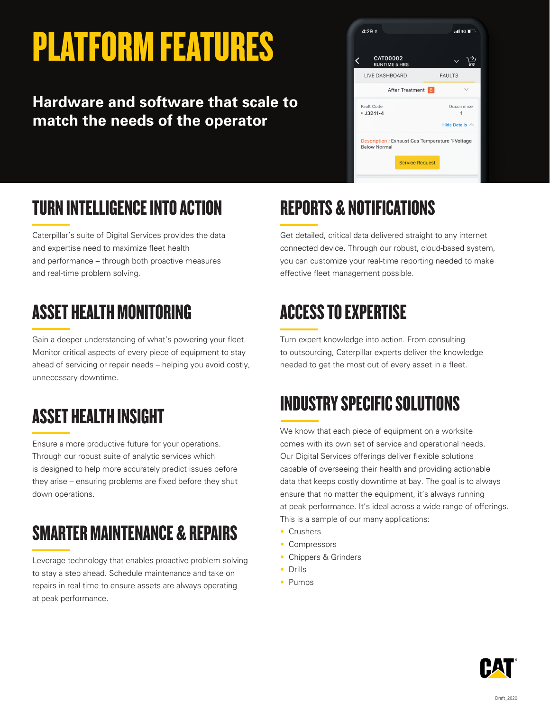# PLATFORM FEATURES

#### **Hardware and software that scale to match the needs of the operator**



# TURN INTELLIGENCE INTO ACTION

Caterpillar's suite of Digital Services provides the data and expertise need to maximize fleet health and performance – through both proactive measures and real-time problem solving.

## ASSET HEALTH MONITORING

Gain a deeper understanding of what's powering your fleet. Monitor critical aspects of every piece of equipment to stay ahead of servicing or repair needs – helping you avoid costly, unnecessary downtime.

## ASSET HEALTH INSIGHT

Ensure a more productive future for your operations. Through our robust suite of analytic services which is designed to help more accurately predict issues before they arise – ensuring problems are fixed before they shut down operations.

## SMARTER MAINTENANCE & REPAIRS

Leverage technology that enables proactive problem solving to stay a step ahead. Schedule maintenance and take on repairs in real time to ensure assets are always operating at peak performance.

# REPORTS & NOTIFICATIONS

Get detailed, critical data delivered straight to any internet connected device. Through our robust, cloud-based system, you can customize your real-time reporting needed to make effective fleet management possible.

### ACCESS TO EXPERTISE

Turn expert knowledge into action. From consulting to outsourcing, Caterpillar experts deliver the knowledge needed to get the most out of every asset in a fleet.

### INDUSTRY SPECIFIC SOLUTIONS

We know that each piece of equipment on a worksite comes with its own set of service and operational needs. Our Digital Services offerings deliver flexible solutions capable of overseeing their health and providing actionable data that keeps costly downtime at bay. The goal is to always ensure that no matter the equipment, it's always running at peak performance. It's ideal across a wide range of offerings. This is a sample of our many applications:

- Crushers
- Compressors
- Chippers & Grinders
- Drills
- Pumps